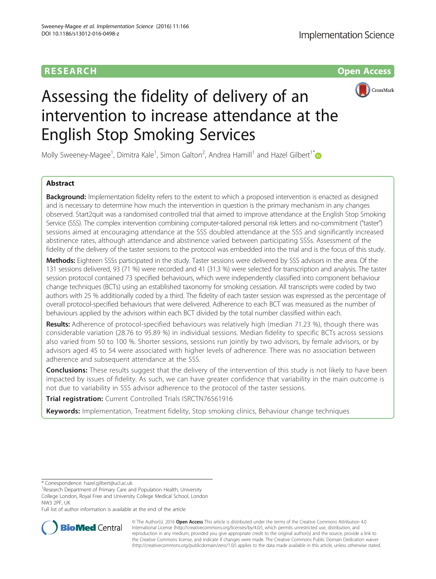# **RESEARCH CHILD CONTROL** CONTROL CONTROL CONTROL CONTROL CONTROL CONTROL CONTROL CONTROL CONTROL CONTROL CONTROL CONTROL CONTROL CONTROL CONTROL CONTROL CONTROL CONTROL CONTROL CONTROL CONTROL CONTROL CONTROL CONTROL CONTR



# Assessing the fidelity of delivery of an intervention to increase attendance at the English Stop Smoking Services

Molly Sweeney-Magee<sup>1</sup>, Dimitra Kale<sup>1</sup>, Simon Galton<sup>2</sup>, Andrea Hamill<sup>1</sup> and Hazel Gilbert<sup>1[\\*](http://orcid.org/0000-0002-1254-6874)</sup>

# Abstract

**Background:** Implementation fidelity refers to the extent to which a proposed intervention is enacted as designed and is necessary to determine how much the intervention in question is the primary mechanism in any changes observed. Start2quit was a randomised controlled trial that aimed to improve attendance at the English Stop Smoking Service (SSS). The complex intervention combining computer-tailored personal risk letters and no-commitment ("taster") sessions aimed at encouraging attendance at the SSS doubled attendance at the SSS and significantly increased abstinence rates, although attendance and abstinence varied between participating SSSs. Assessment of the fidelity of the delivery of the taster sessions to the protocol was embedded into the trial and is the focus of this study.

Methods: Eighteen SSSs participated in the study. Taster sessions were delivered by SSS advisors in the area. Of the 131 sessions delivered, 93 (71 %) were recorded and 41 (31.3 %) were selected for transcription and analysis. The taster session protocol contained 73 specified behaviours, which were independently classified into component behaviour change techniques (BCTs) using an established taxonomy for smoking cessation. All transcripts were coded by two authors with 25 % additionally coded by a third. The fidelity of each taster session was expressed as the percentage of overall protocol-specified behaviours that were delivered. Adherence to each BCT was measured as the number of behaviours applied by the advisors within each BCT divided by the total number classified within each.

Results: Adherence of protocol-specified behaviours was relatively high (median 71.23 %), though there was considerable variation (28.76 to 95.89 %) in individual sessions. Median fidelity to specific BCTs across sessions also varied from 50 to 100 %. Shorter sessions, sessions run jointly by two advisors, by female advisors, or by advisors aged 45 to 54 were associated with higher levels of adherence. There was no association between adherence and subsequent attendance at the SSS.

**Conclusions:** These results suggest that the delivery of the intervention of this study is not likely to have been impacted by issues of fidelity. As such, we can have greater confidence that variability in the main outcome is not due to variability in SSS advisor adherence to the protocol of the taster sessions.

Trial registration: Current Controlled Trials [ISRCTN76561916](http://www.isrctn.com/)

Keywords: Implementation, Treatment fidelity, Stop smoking clinics, Behaviour change techniques

\* Correspondence: [hazel.gilbert@ucl.ac.uk](mailto:hazel.gilbert@ucl.ac.uk) <sup>1</sup>

<sup>1</sup>Research Department of Primary Care and Population Health, University College London, Royal Free and University College Medical School, London NW3 2PF, UK

Full list of author information is available at the end of the article



© The Author(s). 2016 Open Access This article is distributed under the terms of the Creative Commons Attribution 4.0 International License [\(http://creativecommons.org/licenses/by/4.0/](http://creativecommons.org/licenses/by/4.0/)), which permits unrestricted use, distribution, and reproduction in any medium, provided you give appropriate credit to the original author(s) and the source, provide a link to the Creative Commons license, and indicate if changes were made. The Creative Commons Public Domain Dedication waiver [\(http://creativecommons.org/publicdomain/zero/1.0/](http://creativecommons.org/publicdomain/zero/1.0/)) applies to the data made available in this article, unless otherwise stated.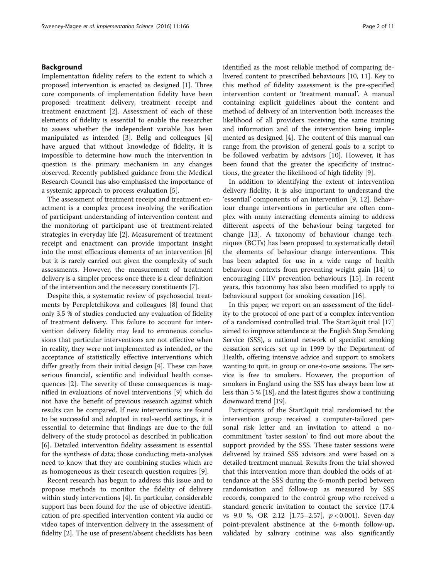# Background

Implementation fidelity refers to the extent to which a proposed intervention is enacted as designed [\[1](#page-10-0)]. Three core components of implementation fidelity have been proposed: treatment delivery, treatment receipt and treatment enactment [[2](#page-10-0)]. Assessment of each of these elements of fidelity is essential to enable the researcher to assess whether the independent variable has been manipulated as intended [[3\]](#page-10-0). Bellg and colleagues [\[4](#page-10-0)] have argued that without knowledge of fidelity, it is impossible to determine how much the intervention in question is the primary mechanism in any changes observed. Recently published guidance from the Medical Research Council has also emphasised the importance of a systemic approach to process evaluation [\[5\]](#page-10-0).

The assessment of treatment receipt and treatment enactment is a complex process involving the verification of participant understanding of intervention content and the monitoring of participant use of treatment-related strategies in everyday life [\[2](#page-10-0)]. Measurement of treatment receipt and enactment can provide important insight into the most efficacious elements of an intervention [\[6](#page-10-0)] but it is rarely carried out given the complexity of such assessments. However, the measurement of treatment delivery is a simpler process once there is a clear definition of the intervention and the necessary constituents [[7\]](#page-10-0).

Despite this, a systematic review of psychosocial treatments by Perepletchikova and colleagues [[8\]](#page-10-0) found that only 3.5 % of studies conducted any evaluation of fidelity of treatment delivery. This failure to account for intervention delivery fidelity may lead to erroneous conclusions that particular interventions are not effective when in reality, they were not implemented as intended, or the acceptance of statistically effective interventions which differ greatly from their initial design [\[4](#page-10-0)]. These can have serious financial, scientific and individual health consequences [\[2](#page-10-0)]. The severity of these consequences is magnified in evaluations of novel interventions [[9\]](#page-10-0) which do not have the benefit of previous research against which results can be compared. If new interventions are found to be successful and adopted in real-world settings, it is essential to determine that findings are due to the full delivery of the study protocol as described in publication [[6\]](#page-10-0). Detailed intervention fidelity assessment is essential for the synthesis of data; those conducting meta-analyses need to know that they are combining studies which are as homogeneous as their research question requires [\[9\]](#page-10-0).

Recent research has begun to address this issue and to propose methods to monitor the fidelity of delivery within study interventions [[4\]](#page-10-0). In particular, considerable support has been found for the use of objective identification of pre-specified intervention content via audio or video tapes of intervention delivery in the assessment of fidelity [\[2](#page-10-0)]. The use of present/absent checklists has been identified as the most reliable method of comparing delivered content to prescribed behaviours [[10, 11\]](#page-10-0). Key to this method of fidelity assessment is the pre-specified intervention content or 'treatment manual'. A manual containing explicit guidelines about the content and method of delivery of an intervention both increases the likelihood of all providers receiving the same training and information and of the intervention being implemented as designed [[4\]](#page-10-0). The content of this manual can range from the provision of general goals to a script to be followed verbatim by advisors [[10\]](#page-10-0). However, it has been found that the greater the specificity of instructions, the greater the likelihood of high fidelity [\[9\]](#page-10-0).

In addition to identifying the extent of intervention delivery fidelity, it is also important to understand the 'essential' components of an intervention [\[9](#page-10-0), [12\]](#page-10-0). Behaviour change interventions in particular are often complex with many interacting elements aiming to address different aspects of the behaviour being targeted for change [\[13](#page-10-0)]. A taxonomy of behaviour change techniques (BCTs) has been proposed to systematically detail the elements of behaviour change interventions. This has been adapted for use in a wide range of health behaviour contexts from preventing weight gain [\[14](#page-10-0)] to encouraging HIV prevention behaviours [[15\]](#page-10-0). In recent years, this taxonomy has also been modified to apply to behavioural support for smoking cessation [[16](#page-10-0)].

In this paper, we report on an assessment of the fidelity to the protocol of one part of a complex intervention of a randomised controlled trial. The Start2quit trial [[17](#page-10-0)] aimed to improve attendance at the English Stop Smoking Service (SSS), a national network of specialist smoking cessation services set up in 1999 by the Department of Health, offering intensive advice and support to smokers wanting to quit, in group or one-to-one sessions. The service is free to smokers. However, the proportion of smokers in England using the SSS has always been low at less than 5 % [\[18\]](#page-10-0), and the latest figures show a continuing downward trend [[19](#page-10-0)].

Participants of the Start2quit trial randomised to the intervention group received a computer-tailored personal risk letter and an invitation to attend a nocommitment 'taster session' to find out more about the support provided by the SSS. These taster sessions were delivered by trained SSS advisors and were based on a detailed treatment manual. Results from the trial showed that this intervention more than doubled the odds of attendance at the SSS during the 6-month period between randomisation and follow-up as measured by SSS records, compared to the control group who received a standard generic invitation to contact the service (17.4 vs 9.0 %, OR 2.12 [1.75–2.57], p < 0.001). Seven-day point-prevalent abstinence at the 6-month follow-up, validated by salivary cotinine was also significantly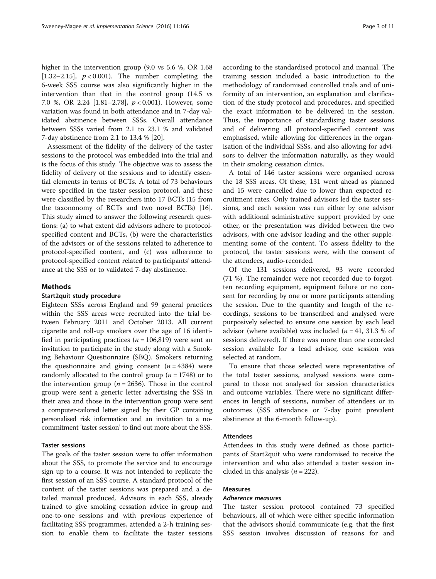higher in the intervention group (9.0 vs 5.6 %, OR 1.68 [1.32–2.15],  $p < 0.001$ ]. The number completing the 6-week SSS course was also significantly higher in the intervention than that in the control group (14.5 vs 7.0 %, OR 2.24 [1.81–2.78], p < 0.001). However, some variation was found in both attendance and in 7-day validated abstinence between SSSs. Overall attendance between SSSs varied from 2.1 to 23.1 % and validated 7-day abstinence from 2.1 to 13.4 % [[20\]](#page-10-0).

Assessment of the fidelity of the delivery of the taster sessions to the protocol was embedded into the trial and is the focus of this study. The objective was to assess the fidelity of delivery of the sessions and to identify essential elements in terms of BCTs. A total of 73 behaviours were specified in the taster session protocol, and these were classified by the researchers into 17 BCTs (15 from the taxononomy of BCTs and two novel BCTs) [\[16](#page-10-0)]. This study aimed to answer the following research questions: (a) to what extent did advisors adhere to protocolspecified content and BCTs, (b) were the characteristics of the advisors or of the sessions related to adherence to protocol-specified content, and (c) was adherence to protocol-specified content related to participants' attendance at the SSS or to validated 7-day abstinence.

#### Methods

# Start2quit study procedure

Eighteen SSSs across England and 99 general practices within the SSS areas were recruited into the trial between February 2011 and October 2013. All current cigarette and roll-up smokers over the age of 16 identified in participating practices ( $n = 106,819$ ) were sent an invitation to participate in the study along with a Smoking Behaviour Questionnaire (SBQ). Smokers returning the questionnaire and giving consent  $(n = 4384)$  were randomly allocated to the control group ( $n = 1748$ ) or to the intervention group ( $n = 2636$ ). Those in the control group were sent a generic letter advertising the SSS in their area and those in the intervention group were sent a computer-tailored letter signed by their GP containing personalised risk information and an invitation to a nocommitment 'taster session' to find out more about the SSS.

# Taster sessions

The goals of the taster session were to offer information about the SSS, to promote the service and to encourage sign up to a course. It was not intended to replicate the first session of an SSS course. A standard protocol of the content of the taster sessions was prepared and a detailed manual produced. Advisors in each SSS, already trained to give smoking cessation advice in group and one-to-one sessions and with previous experience of facilitating SSS programmes, attended a 2-h training session to enable them to facilitate the taster sessions according to the standardised protocol and manual. The training session included a basic introduction to the methodology of randomised controlled trials and of uniformity of an intervention, an explanation and clarification of the study protocol and procedures, and specified the exact information to be delivered in the session. Thus, the importance of standardising taster sessions and of delivering all protocol-specified content was emphasised, while allowing for differences in the organisation of the individual SSSs, and also allowing for advisors to deliver the information naturally, as they would in their smoking cessation clinics.

A total of 146 taster sessions were organised across the 18 SSS areas. Of these, 131 went ahead as planned and 15 were cancelled due to lower than expected recruitment rates. Only trained advisors led the taster sessions, and each session was run either by one advisor with additional administrative support provided by one other, or the presentation was divided between the two advisors, with one advisor leading and the other supplementing some of the content. To assess fidelity to the protocol, the taster sessions were, with the consent of the attendees, audio-recorded.

Of the 131 sessions delivered, 93 were recorded (71 %). The remainder were not recorded due to forgotten recording equipment, equipment failure or no consent for recording by one or more participants attending the session. Due to the quantity and length of the recordings, sessions to be transcribed and analysed were purposively selected to ensure one session by each lead advisor (where available) was included ( $n = 41, 31.3$  % of sessions delivered). If there was more than one recorded session available for a lead advisor, one session was selected at random.

To ensure that those selected were representative of the total taster sessions, analysed sessions were compared to those not analysed for session characteristics and outcome variables. There were no significant differences in length of sessions, number of attendees or in outcomes (SSS attendance or 7-day point prevalent abstinence at the 6-month follow-up).

# Attendees

Attendees in this study were defined as those participants of Start2quit who were randomised to receive the intervention and who also attended a taster session included in this analysis  $(n = 222)$ .

## Measures

# Adherence measures

The taster session protocol contained 73 specified behaviours, all of which were either specific information that the advisors should communicate (e.g. that the first SSS session involves discussion of reasons for and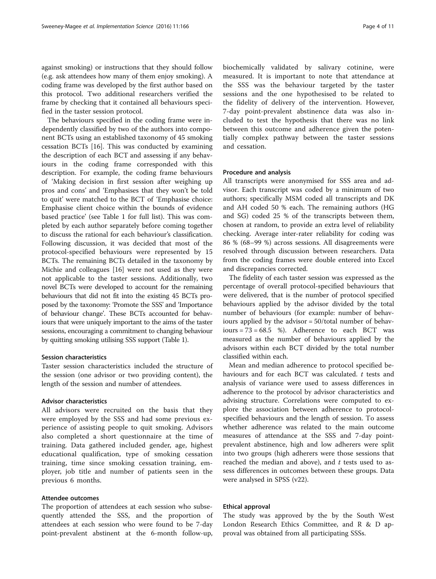against smoking) or instructions that they should follow (e.g. ask attendees how many of them enjoy smoking). A coding frame was developed by the first author based on this protocol. Two additional researchers verified the frame by checking that it contained all behaviours specified in the taster session protocol.

The behaviours specified in the coding frame were independently classified by two of the authors into component BCTs using an established taxonomy of 45 smoking cessation BCTs [\[16](#page-10-0)]. This was conducted by examining the description of each BCT and assessing if any behaviours in the coding frame corresponded with this description. For example, the coding frame behaviours of 'Making decision in first session after weighing up pros and cons' and 'Emphasises that they won't be told to quit' were matched to the BCT of 'Emphasise choice: Emphasise client choice within the bounds of evidence based practice' (see Table [1](#page-4-0) for full list). This was completed by each author separately before coming together to discuss the rational for each behaviour's classification. Following discussion, it was decided that most of the protocol-specified behaviours were represented by 15 BCTs. The remaining BCTs detailed in the taxonomy by Michie and colleagues [[16\]](#page-10-0) were not used as they were not applicable to the taster sessions. Additionally, two novel BCTs were developed to account for the remaining behaviours that did not fit into the existing 45 BCTs proposed by the taxonomy: 'Promote the SSS' and 'Importance of behaviour change'. These BCTs accounted for behaviours that were uniquely important to the aims of the taster sessions, encouraging a commitment to changing behaviour by quitting smoking utilising SSS support (Table [1\)](#page-4-0).

#### Session characteristics

Taster session characteristics included the structure of the session (one advisor or two providing content), the length of the session and number of attendees.

#### Advisor characteristics

All advisors were recruited on the basis that they were employed by the SSS and had some previous experience of assisting people to quit smoking. Advisors also completed a short questionnaire at the time of training. Data gathered included gender, age, highest educational qualification, type of smoking cessation training, time since smoking cessation training, employer, job title and number of patients seen in the previous 6 months.

# Attendee outcomes

The proportion of attendees at each session who subsequently attended the SSS, and the proportion of attendees at each session who were found to be 7-day point-prevalent abstinent at the 6-month follow-up,

biochemically validated by salivary cotinine, were measured. It is important to note that attendance at the SSS was the behaviour targeted by the taster sessions and the one hypothesised to be related to the fidelity of delivery of the intervention. However, 7-day point-prevalent abstinence data was also included to test the hypothesis that there was no link between this outcome and adherence given the potentially complex pathway between the taster sessions and cessation.

## Procedure and analysis

All transcripts were anonymised for SSS area and advisor. Each transcript was coded by a minimum of two authors; specifically MSM coded all transcripts and DK and AH coded 50 % each. The remaining authors (HG and SG) coded 25 % of the transcripts between them, chosen at random, to provide an extra level of reliability checking. Average inter-rater reliability for coding was 86 % (68–99 %) across sessions. All disagreements were resolved through discussion between researchers. Data from the coding frames were double entered into Excel and discrepancies corrected.

The fidelity of each taster session was expressed as the percentage of overall protocol-specified behaviours that were delivered, that is the number of protocol specified behaviours applied by the advisor divided by the total number of behaviours (for example: number of behaviours applied by the advisor = 50/total number of behaviours =  $73 = 68.5$  %). Adherence to each BCT was measured as the number of behaviours applied by the advisors within each BCT divided by the total number classified within each.

Mean and median adherence to protocol specified behaviours and for each BCT was calculated.  $t$  tests and analysis of variance were used to assess differences in adherence to the protocol by advisor characteristics and advising structure. Correlations were computed to explore the association between adherence to protocolspecified behaviours and the length of session. To assess whether adherence was related to the main outcome measures of attendance at the SSS and 7-day pointprevalent abstinence, high and low adherers were split into two groups (high adherers were those sessions that reached the median and above), and  $t$  tests used to assess differences in outcomes between these groups. Data were analysed in SPSS (v22).

## Ethical approval

The study was approved by the by the South West London Research Ethics Committee, and R & D approval was obtained from all participating SSSs.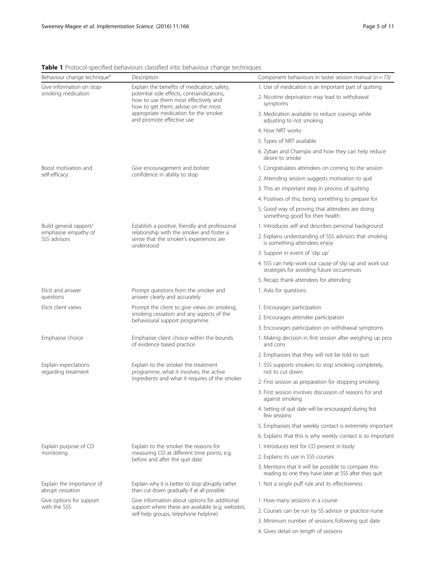| Behaviour change technique <sup>a</sup>         | Description                                                                                                                                 | Component behaviours in taster session manual ( $n = 73$ )                                                    |  |  |
|-------------------------------------------------|---------------------------------------------------------------------------------------------------------------------------------------------|---------------------------------------------------------------------------------------------------------------|--|--|
| Give information on stop-<br>smoking medication | Explain the benefits of medication, safety,                                                                                                 | 1. Use of medication is an important part of quitting                                                         |  |  |
|                                                 | potential side effects, contraindications,<br>how to use them most effectively and<br>how to get them; advise on the most                   | 2. Nicotine deprivation may lead to withdrawal<br>symptoms                                                    |  |  |
|                                                 | appropriate medication for the smoker<br>and promote effective use                                                                          | 3. Medication available to reduce cravings while<br>adjusting to not smoking                                  |  |  |
|                                                 |                                                                                                                                             | 4. How NRT works                                                                                              |  |  |
|                                                 |                                                                                                                                             | 5. Types of NRT available                                                                                     |  |  |
|                                                 |                                                                                                                                             | 6. Zyban and Champix and how they can help reduce<br>desire to smoke                                          |  |  |
| Boost motivation and                            | Give encouragement and bolster<br>confidence in ability to stop                                                                             | 1. Congratulates attendees on coming to the session                                                           |  |  |
| self-efficacy                                   |                                                                                                                                             | 2. Attending session suggests motivation to quit                                                              |  |  |
|                                                 |                                                                                                                                             | 3. This an important step in process of quitting                                                              |  |  |
|                                                 |                                                                                                                                             | 4. Positives of this, being something to prepare for                                                          |  |  |
|                                                 |                                                                                                                                             | 5. Good way of proving that attendees are doing<br>something good for their health                            |  |  |
| Build general rapport/                          | Establish a positive, friendly and professional                                                                                             | 1. Introduces self and describes personal background                                                          |  |  |
| emphasise empathy of<br>SSS advisors            | relationship with the smoker and foster a<br>sense that the smoker's experiences are<br>understood                                          | 2. Explains understanding of SSS advisors that smoking<br>is something attendees enjoy                        |  |  |
|                                                 |                                                                                                                                             | 3. Support in event of 'slip up'                                                                              |  |  |
|                                                 |                                                                                                                                             | 4. SSS can help work out cause of slip up and work out<br>strategies for avoiding future occurrences          |  |  |
|                                                 |                                                                                                                                             | 5. Recap; thank attendees for attending                                                                       |  |  |
| Elicit and answer<br>questions                  | Prompt questions from the smoker and<br>answer clearly and accurately                                                                       | 1. Asks for questions                                                                                         |  |  |
| Elicit client views                             | Prompt the client to give views on smoking,                                                                                                 | 1. Encourages participation                                                                                   |  |  |
|                                                 | smoking cessation and any aspects of the<br>behavioural support programme                                                                   | 2. Encourages attendee participation                                                                          |  |  |
|                                                 |                                                                                                                                             | 3. Encourages participation on withdrawal symptoms                                                            |  |  |
| Emphasise choice                                | Emphasise client choice within the bounds<br>of evidence based practice                                                                     | 1. Making decision in first session after weighing up pros<br>and cons                                        |  |  |
|                                                 |                                                                                                                                             | 2. Emphasises that they will not be told to quit                                                              |  |  |
| Explain expectations<br>regarding treatment     | Explain to the smoker the treatment<br>programme, what it involves, the active                                                              | 1. SSS supports smokers to stop smoking completely,<br>not to cut down                                        |  |  |
|                                                 | ingredients and what it requires of the smoker                                                                                              | 2. First session as preparation for stopping smoking                                                          |  |  |
|                                                 |                                                                                                                                             | 3. First session involves discussion of reasons for and<br>against smoking                                    |  |  |
|                                                 |                                                                                                                                             | 4. Setting of quit date will be encouraged during first<br>few sessions                                       |  |  |
|                                                 |                                                                                                                                             | 5. Emphasises that weekly contact is extremely important                                                      |  |  |
|                                                 |                                                                                                                                             | 6. Explains that this is why weekly contact is so important                                                   |  |  |
| Explain purpose of CO                           | Explain to the smoker the reasons for                                                                                                       | 1. Introduces test for CO present in body                                                                     |  |  |
| monitoring                                      | measuring CO at different time points, e.g.<br>before and after the quit date                                                               | 2. Explains its use in SSS courses                                                                            |  |  |
|                                                 |                                                                                                                                             | 3. Mentions that it will be possible to compare this<br>reading to one they have later at SSS after they quit |  |  |
| Explain the importance of<br>abrupt cessation   | Explain why it is better to stop abruptly rather<br>than cut down gradually if at all possible                                              | 1. Not a single puff rule and its effectiveness                                                               |  |  |
| Give options for support                        | Give information about options for additional<br>support where these are available (e.g. websites,<br>self-help groups, telephone helpline) | 1. How many sessions in a course                                                                              |  |  |
| with the SSS                                    |                                                                                                                                             | 2. Courses can be run by SS advisor or practice nurse                                                         |  |  |
|                                                 |                                                                                                                                             | 3. Minimum number of sessions following quit date                                                             |  |  |
|                                                 |                                                                                                                                             | 4. Gives detail on length of sessions                                                                         |  |  |

<span id="page-4-0"></span>Table 1 Protocol-specified behaviours classified into behaviour change techniques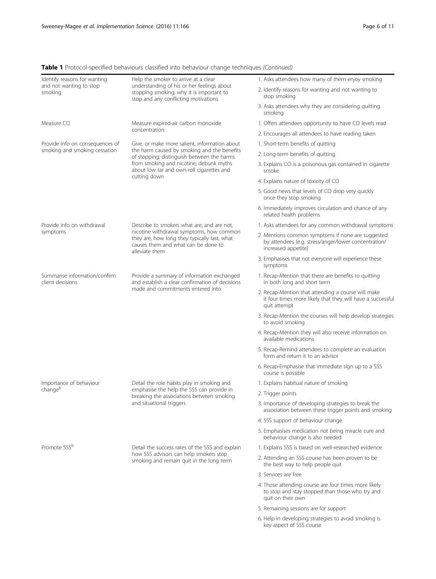| Identify reasons for wanting                      | Help the smoker to arrive at a clear                                                                                                                                                                                                               | 1. Asks attendees how many of them enjoy smoking                                                                                 |  |  |
|---------------------------------------------------|----------------------------------------------------------------------------------------------------------------------------------------------------------------------------------------------------------------------------------------------------|----------------------------------------------------------------------------------------------------------------------------------|--|--|
| and not wanting to stop<br>smoking                | understanding of his or her feelings about<br>stopping smoking, why it is important to<br>stop and any conflicting motivations                                                                                                                     | 2. Identify reasons for wanting and not wanting to<br>stop smoking                                                               |  |  |
|                                                   |                                                                                                                                                                                                                                                    | 3. Asks attendees why they are considering quitting<br>smoking                                                                   |  |  |
| Measure CO                                        | Measure expired-air carbon monoxide                                                                                                                                                                                                                | 1. Offers attendees opportunity to have CO levels read                                                                           |  |  |
|                                                   | concentration                                                                                                                                                                                                                                      | 2. Encourages all attendees to have reading taken                                                                                |  |  |
| Provide info on consequences of                   | Give, or make more salient, information about<br>the harm caused by smoking and the benefits<br>of stopping; distinguish between the harms<br>from smoking and nicotine; debunk myths<br>about low tar and own-roll cigarettes and<br>cutting down | 1. Short-term benefits of quitting                                                                                               |  |  |
| smoking and smoking cessation                     |                                                                                                                                                                                                                                                    | 2. Long-term benefits of quitting                                                                                                |  |  |
|                                                   |                                                                                                                                                                                                                                                    | 3. Explains CO is a poisonous gas contained in cigarette<br>smoke                                                                |  |  |
|                                                   |                                                                                                                                                                                                                                                    | 4. Explains nature of toxicity of CO                                                                                             |  |  |
|                                                   |                                                                                                                                                                                                                                                    | 5. Good news that levels of CO drop very quickly<br>once they stop smoking                                                       |  |  |
|                                                   |                                                                                                                                                                                                                                                    | 6. Immediately improves circulation and chance of any<br>related health problems                                                 |  |  |
| Provide info on withdrawal                        | Describe to smokers what are, and are not,                                                                                                                                                                                                         | 1. Asks attendees for any common withdrawal symptoms                                                                             |  |  |
| symptoms                                          | nicotine withdrawal symptoms, how common<br>they are, how long they typically last, what<br>causes them and what can be done to<br>alleviate them                                                                                                  | 2. Mentions common symptoms if none are suggested<br>by attendees (e.g. stress/anger/lower concentration/<br>increased appetite) |  |  |
|                                                   |                                                                                                                                                                                                                                                    | 3. Emphasises that not everyone will experience these<br>symptoms                                                                |  |  |
| Summarise information/confirm<br>client decisions | Provide a summary of information exchanged<br>and establish a clear confirmation of decisions<br>made and commitments entered into                                                                                                                 | 1. Recap-Mention that there are benefits to quitting<br>in both long and short term                                              |  |  |
|                                                   |                                                                                                                                                                                                                                                    | 2. Recap-Mention that attending a course will make<br>it four times more likely that they will have a successful<br>quit attempt |  |  |
|                                                   |                                                                                                                                                                                                                                                    | 3. Recap-Mention the courses will help develop strategies<br>to avoid smoking                                                    |  |  |
|                                                   |                                                                                                                                                                                                                                                    | 4. Recap-Mention they will also receive information on<br>available medications                                                  |  |  |
|                                                   |                                                                                                                                                                                                                                                    | 5. Recap-Remind attendees to complete an evaluation<br>form and return it to an advisor                                          |  |  |
|                                                   |                                                                                                                                                                                                                                                    | 6. Recap-Emphasise that immediate sign up to a SSS<br>course is possible                                                         |  |  |
| Importance of behaviour                           | Detail the role habits play in smoking and<br>emphasise the help the SSS can provide in<br>breaking the associations between smoking<br>and situational triggers                                                                                   | 1. Explains habitual nature of smoking                                                                                           |  |  |
| change <sup>b</sup>                               |                                                                                                                                                                                                                                                    | 2. Trigger points                                                                                                                |  |  |
|                                                   |                                                                                                                                                                                                                                                    | 3. Importance of developing strategies to break the<br>association between these trigger points and smoking                      |  |  |
|                                                   |                                                                                                                                                                                                                                                    | 4. SSS support of behaviour change                                                                                               |  |  |
|                                                   |                                                                                                                                                                                                                                                    | 5. Emphasises medication not being miracle cure and<br>behaviour change is also needed                                           |  |  |
| Promote SSS <sup>b</sup>                          | Detail the success rates of the SSS and explain                                                                                                                                                                                                    | 1. Explains SSS is based on well-researched evidence                                                                             |  |  |
|                                                   | how SSS advisors can help smokers stop<br>smoking and remain quit in the long term                                                                                                                                                                 | 2. Attending an SSS course has been proven to be<br>the best way to help people quit                                             |  |  |
|                                                   |                                                                                                                                                                                                                                                    | 3. Services are free                                                                                                             |  |  |
|                                                   |                                                                                                                                                                                                                                                    | 4. Those attending course are four times more likely<br>to stop and stay stopped than those who try and<br>quit on their own     |  |  |
|                                                   |                                                                                                                                                                                                                                                    | 5. Remaining sessions are for support                                                                                            |  |  |

# Table 1 Protocol-specified behaviours classified into behaviour change techniques (Continued)

6. Help in developing strategies to avoid smoking is key aspect of SSS course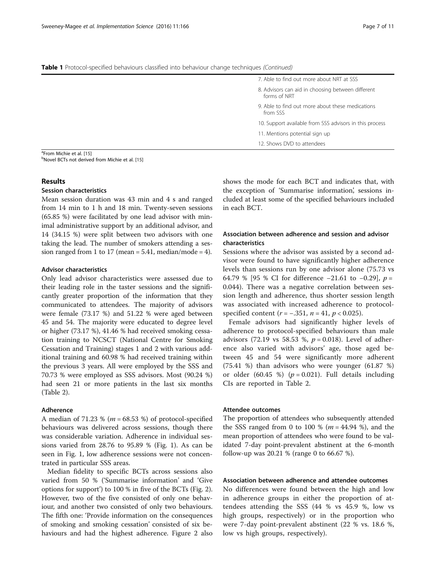| Table 1 Protocol-specified behaviours classified into behaviour change techniques (Continued) |  |  |  |
|-----------------------------------------------------------------------------------------------|--|--|--|
|                                                                                               |  |  |  |

| $a_{\text{Erom}}$ Michie of al [15] |                                                                   |
|-------------------------------------|-------------------------------------------------------------------|
|                                     | 12. Shows DVD to attendees                                        |
|                                     | 11. Mentions potential sign up                                    |
|                                     | 10. Support available from SSS advisors in this process           |
|                                     | 9. Able to find out more about these medications<br>from SSS      |
|                                     | 8. Advisors can aid in choosing between different<br>forms of NRT |
|                                     | 7. Able to find out more about NRT at SSS                         |

rom Michie et al. [\[15](#page-10-0)] <sup>b</sup>Novel BCTs not derived from Michie et al. [[15\]](#page-10-0)

# Results

#### Session characteristics

Mean session duration was 43 min and 4 s and ranged from 14 min to 1 h and 18 min. Twenty-seven sessions (65.85 %) were facilitated by one lead advisor with minimal administrative support by an additional advisor, and 14 (34.15 %) were split between two advisors with one taking the lead. The number of smokers attending a session ranged from 1 to 17 (mean =  $5.41$ , median/mode =  $4$ ).

#### Advisor characteristics

Only lead advisor characteristics were assessed due to their leading role in the taster sessions and the significantly greater proportion of the information that they communicated to attendees. The majority of advisors were female (73.17 %) and 51.22 % were aged between 45 and 54. The majority were educated to degree level or higher (73.17 %), 41.46 % had received smoking cessation training to NCSCT (National Centre for Smoking Cessation and Training) stages 1 and 2 with various additional training and 60.98 % had received training within the previous 3 years. All were employed by the SSS and 70.73 % were employed as SSS advisors. Most (90.24 %) had seen 21 or more patients in the last six months (Table [2\)](#page-7-0).

#### Adherence

A median of 71.23 % ( $m = 68.53$  %) of protocol-specified behaviours was delivered across sessions, though there was considerable variation. Adherence in individual sessions varied from 28.76 to 95.89 % (Fig. [1\)](#page-8-0). As can be seen in Fig. [1,](#page-8-0) low adherence sessions were not concentrated in particular SSS areas.

Median fidelity to specific BCTs across sessions also varied from 50 % ('Summarise information' and 'Give options for support') to 100 % in five of the BCTs (Fig. [2](#page-8-0)). However, two of the five consisted of only one behaviour, and another two consisted of only two behaviours. The fifth one: 'Provide information on the consequences of smoking and smoking cessation' consisted of six behaviours and had the highest adherence. Figure [2](#page-8-0) also shows the mode for each BCT and indicates that, with the exception of 'Summarise information', sessions included at least some of the specified behaviours included in each BCT.

# Association between adherence and session and advisor characteristics

Sessions where the advisor was assisted by a second advisor were found to have significantly higher adherence levels than sessions run by one advisor alone (75.73 vs 64.79 % [95 % CI for difference −21.61 to −0.29],  $p =$ 0.044). There was a negative correlation between session length and adherence, thus shorter session length was associated with increased adherence to protocolspecified content ( $r = -.351$ ,  $n = 41$ ,  $p < 0.025$ ).

Female advisors had significantly higher levels of adherence to protocol-specified behaviours than male advisors (72.19 vs 58.53 %,  $p = 0.018$ ). Level of adherence also varied with advisors' age, those aged between 45 and 54 were significantly more adherent (75.41 %) than advisors who were younger (61.87 %) or older (60.45 %) ( $p = 0.021$ ). Full details including CIs are reported in Table [2](#page-7-0).

#### Attendee outcomes

The proportion of attendees who subsequently attended the SSS ranged from 0 to 100 % ( $m = 44.94$  %), and the mean proportion of attendees who were found to be validated 7-day point-prevalent abstinent at the 6-month follow-up was 20.21 % (range 0 to 66.67 %).

## Association between adherence and attendee outcomes

No differences were found between the high and low in adherence groups in either the proportion of attendees attending the SSS (44 % vs 45.9 %, low vs high groups, respectively) or in the proportion who were 7-day point-prevalent abstinent (22 % vs. 18.6 %, low vs high groups, respectively).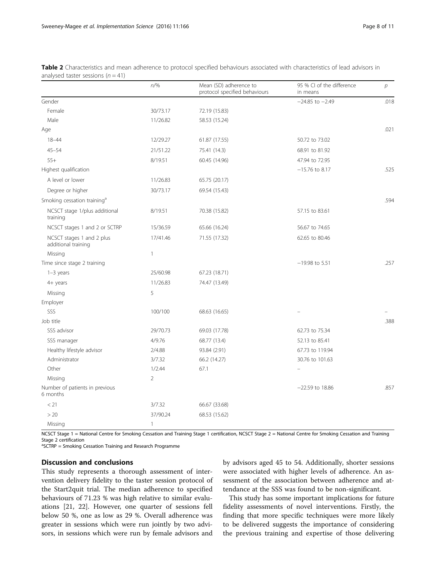|                                                  | $n\frac{9}{6}$ | Mean (SD) adherence to<br>protocol specified behaviours | 95 % CI of the difference<br>in means | $\overline{p}$ |
|--------------------------------------------------|----------------|---------------------------------------------------------|---------------------------------------|----------------|
| Gender                                           |                |                                                         | $-24.85$ to $-2.49$                   | .018           |
| Female                                           | 30/73.17       | 72.19 (15.83)                                           |                                       |                |
| Male                                             | 11/26.82       | 58.53 (15.24)                                           |                                       |                |
| Age                                              |                |                                                         |                                       | .021           |
| $18 - 44$                                        | 12/29.27       | 61.87 (17.55)                                           | 50.72 to 73.02                        |                |
| $45 - 54$                                        | 21/51.22       | 75.41 (14.3)                                            | 68.91 to 81.92                        |                |
| $55+$                                            | 8/19.51        | 60.45 (14.96)                                           | 47.94 to 72.95                        |                |
| Highest qualification                            |                |                                                         | $-15.76$ to 8.17                      | .525           |
| A level or lower                                 | 11/26.83       | 65.75 (20.17)                                           |                                       |                |
| Degree or higher                                 | 30/73.17       | 69.54 (15.43)                                           |                                       |                |
| Smoking cessation training <sup>a</sup>          |                |                                                         |                                       | .594           |
| NCSCT stage 1/plus additional<br>training        | 8/19.51        | 70.38 (15.82)                                           | 57.15 to 83.61                        |                |
| NCSCT stages 1 and 2 or SCTRP                    | 15/36.59       | 65.66 (16.24)                                           | 56.67 to 74.65                        |                |
| NCSCT stages 1 and 2 plus<br>additional training | 17/41.46       | 71.55 (17.32)                                           | 62.65 to 80.46                        |                |
| Missing                                          | 1              |                                                         |                                       |                |
| Time since stage 2 training                      |                |                                                         | $-19.98$ to 5.51                      | .257           |
| $1-3$ years                                      | 25/60.98       | 67.23 (18.71)                                           |                                       |                |
| 4+ years                                         | 11/26.83       | 74.47 (13.49)                                           |                                       |                |
| Missing                                          | 5              |                                                         |                                       |                |
| Employer                                         |                |                                                         |                                       |                |
| SSS                                              | 100/100        | 68.63 (16.65)                                           |                                       |                |
| Job title                                        |                |                                                         |                                       | .388           |
| SSS advisor                                      | 29/70.73       | 69.03 (17.78)                                           | 62.73 to 75.34                        |                |
| SSS manager                                      | 4/9.76         | 68.77 (13.4)                                            | 52.13 to 85.41                        |                |
| Healthy lifestyle advisor                        | 2/4.88         | 93.84 (2.91)                                            | 67.73 to 119.94                       |                |
| Administrator                                    | 3/7.32         | 66.2 (14.27)                                            | 30.76 to 101.63                       |                |
| Other                                            | 1/2.44         | 67.1                                                    |                                       |                |
| Missing                                          | $\overline{2}$ |                                                         |                                       |                |
| Number of patients in previous<br>6 months       |                |                                                         | $-22.59$ to 18.86                     | .857           |
| < 21                                             | 3/7.32         | 66.67 (33.68)                                           |                                       |                |
| > 20                                             | 37/90.24       | 68.53 (15.62)                                           |                                       |                |
| Missing                                          | $\mathbf{1}$   |                                                         |                                       |                |

<span id="page-7-0"></span>Table 2 Characteristics and mean adherence to protocol specified behaviours associated with characteristics of lead advisors in analysed taster sessions  $(n = 41)$ 

NCSCT Stage 1 = National Centre for Smoking Cessation and Training Stage 1 certification, NCSCT Stage 2 = National Centre for Smoking Cessation and Training Stage 2 certification

<sup>a</sup>SCTRP = Smoking Cessation Training and Research Programme

# Discussion and conclusions

This study represents a thorough assessment of intervention delivery fidelity to the taster session protocol of the Start2quit trial. The median adherence to specified behaviours of 71.23 % was high relative to similar evaluations [[21, 22\]](#page-10-0). However, one quarter of sessions fell below 50 %, one as low as 29 %. Overall adherence was greater in sessions which were run jointly by two advisors, in sessions which were run by female advisors and

by advisors aged 45 to 54. Additionally, shorter sessions were associated with higher levels of adherence. An assessment of the association between adherence and attendance at the SSS was found to be non-significant.

This study has some important implications for future fidelity assessments of novel interventions. Firstly, the finding that more specific techniques were more likely to be delivered suggests the importance of considering the previous training and expertise of those delivering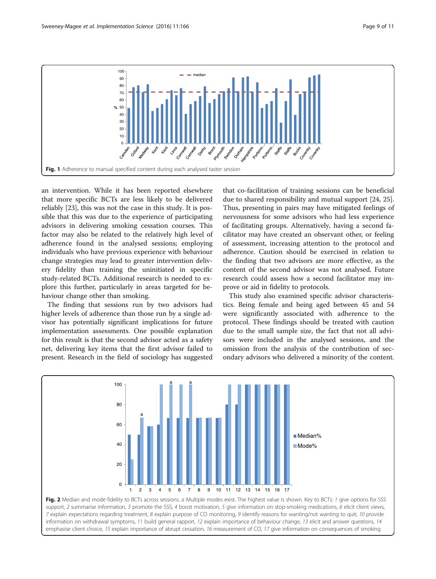

<span id="page-8-0"></span>

an intervention. While it has been reported elsewhere that more specific BCTs are less likely to be delivered reliably [\[23](#page-10-0)], this was not the case in this study. It is possible that this was due to the experience of participating advisors in delivering smoking cessation courses. This factor may also be related to the relatively high level of adherence found in the analysed sessions; employing individuals who have previous experience with behaviour change strategies may lead to greater intervention delivery fidelity than training the uninitiated in specific study-related BCTs. Additional research is needed to explore this further, particularly in areas targeted for behaviour change other than smoking.

The finding that sessions run by two advisors had higher levels of adherence than those run by a single advisor has potentially significant implications for future implementation assessments. One possible explanation for this result is that the second advisor acted as a safety net, delivering key items that the first advisor failed to present. Research in the field of sociology has suggested

that co-facilitation of training sessions can be beneficial due to shared responsibility and mutual support [\[24](#page-10-0), [25](#page-10-0)]. Thus, presenting in pairs may have mitigated feelings of nervousness for some advisors who had less experience of facilitating groups. Alternatively, having a second facilitator may have created an observant other, or feeling of assessment, increasing attention to the protocol and adherence. Caution should be exercised in relation to the finding that two advisors are more effective, as the content of the second advisor was not analysed. Future research could assess how a second facilitator may improve or aid in fidelity to protocols.

This study also examined specific advisor characteristics. Being female and being aged between 45 and 54 were significantly associated with adherence to the protocol. These findings should be treated with caution due to the small sample size, the fact that not all advisors were included in the analysed sessions, and the omission from the analysis of the contribution of secondary advisors who delivered a minority of the content.



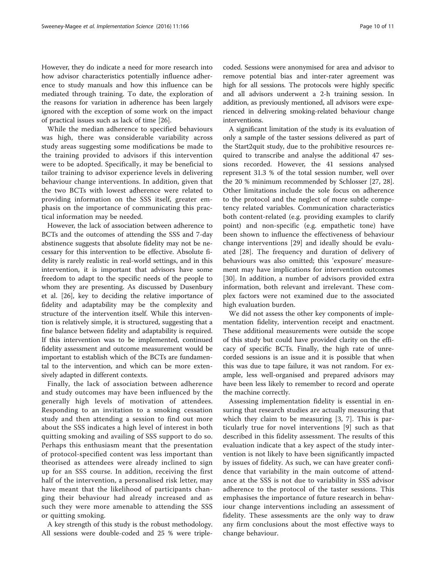However, they do indicate a need for more research into how advisor characteristics potentially influence adherence to study manuals and how this influence can be mediated through training. To date, the exploration of the reasons for variation in adherence has been largely ignored with the exception of some work on the impact of practical issues such as lack of time [\[26](#page-10-0)].

While the median adherence to specified behaviours was high, there was considerable variability across study areas suggesting some modifications be made to the training provided to advisors if this intervention were to be adopted. Specifically, it may be beneficial to tailor training to advisor experience levels in delivering behaviour change interventions. In addition, given that the two BCTs with lowest adherence were related to providing information on the SSS itself, greater emphasis on the importance of communicating this practical information may be needed.

However, the lack of association between adherence to BCTs and the outcomes of attending the SSS and 7-day abstinence suggests that absolute fidelity may not be necessary for this intervention to be effective. Absolute fidelity is rarely realistic in real-world settings, and in this intervention, it is important that advisors have some freedom to adapt to the specific needs of the people to whom they are presenting. As discussed by Dusenbury et al. [[26](#page-10-0)], key to deciding the relative importance of fidelity and adaptability may be the complexity and structure of the intervention itself. While this intervention is relatively simple, it is structured, suggesting that a fine balance between fidelity and adaptability is required. If this intervention was to be implemented, continued fidelity assessment and outcome measurement would be important to establish which of the BCTs are fundamental to the intervention, and which can be more extensively adapted in different contexts.

Finally, the lack of association between adherence and study outcomes may have been influenced by the generally high levels of motivation of attendees. Responding to an invitation to a smoking cessation study and then attending a session to find out more about the SSS indicates a high level of interest in both quitting smoking and availing of SSS support to do so. Perhaps this enthusiasm meant that the presentation of protocol-specified content was less important than theorised as attendees were already inclined to sign up for an SSS course. In addition, receiving the first half of the intervention, a personalised risk letter, may have meant that the likelihood of participants changing their behaviour had already increased and as such they were more amenable to attending the SSS or quitting smoking.

A key strength of this study is the robust methodology. All sessions were double-coded and 25 % were triplecoded. Sessions were anonymised for area and advisor to remove potential bias and inter-rater agreement was high for all sessions. The protocols were highly specific and all advisors underwent a 2-h training session. In addition, as previously mentioned, all advisors were experienced in delivering smoking-related behaviour change interventions.

A significant limitation of the study is its evaluation of only a sample of the taster sessions delivered as part of the Start2quit study, due to the prohibitive resources required to transcribe and analyse the additional 47 sessions recorded. However, the 41 sessions analysed represent 31.3 % of the total session number, well over the 20 % minimum recommended by Schlosser [\[27, 28](#page-10-0)]. Other limitations include the sole focus on adherence to the protocol and the neglect of more subtle competency related variables. Communication characteristics both content-related (e.g. providing examples to clarify point) and non-specific (e.g. empathetic tone) have been shown to influence the effectiveness of behaviour change interventions [\[29](#page-10-0)] and ideally should be evaluated [[28\]](#page-10-0). The frequency and duration of delivery of behaviours was also omitted; this 'exposure' measurement may have implications for intervention outcomes [[30\]](#page-10-0). In addition, a number of advisors provided extra information, both relevant and irrelevant. These complex factors were not examined due to the associated high evaluation burden.

We did not assess the other key components of implementation fidelity, intervention receipt and enactment. These additional measurements were outside the scope of this study but could have provided clarity on the efficacy of specific BCTs. Finally, the high rate of unrecorded sessions is an issue and it is possible that when this was due to tape failure, it was not random. For example, less well-organised and prepared advisors may have been less likely to remember to record and operate the machine correctly.

Assessing implementation fidelity is essential in ensuring that research studies are actually measuring that which they claim to be measuring [\[3](#page-10-0), [7\]](#page-10-0). This is particularly true for novel interventions [\[9](#page-10-0)] such as that described in this fidelity assessment. The results of this evaluation indicate that a key aspect of the study intervention is not likely to have been significantly impacted by issues of fidelity. As such, we can have greater confidence that variability in the main outcome of attendance at the SSS is not due to variability in SSS advisor adherence to the protocol of the taster sessions. This emphasises the importance of future research in behaviour change interventions including an assessment of fidelity. These assessments are the only way to draw any firm conclusions about the most effective ways to change behaviour.